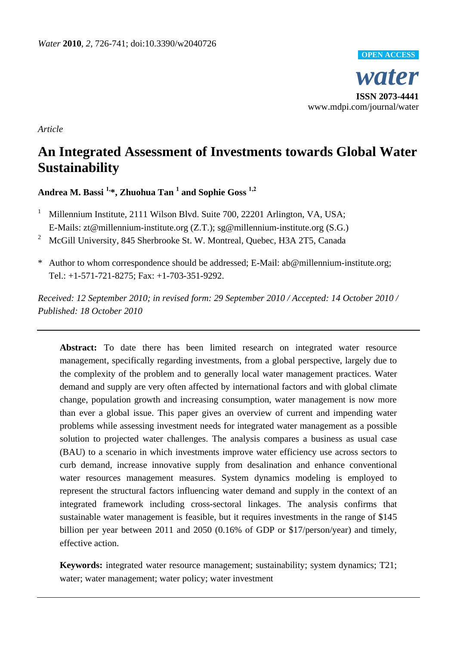

*Article* 

# **An Integrated Assessment of Investments towards Global Water Sustainability**

**Andrea M. Bassi 1,\*, Zhuohua Tan <sup>1</sup> and Sophie Goss 1,2**

<sup>1</sup> Millennium Institute, 2111 Wilson Blvd. Suite 700, 22201 Arlington, VA, USA; E-Mails: zt@millennium-institute.org (Z.T.); sg@millennium-institute.org (S.G.)

<sup>2</sup> McGill University, 845 Sherbrooke St. W. Montreal, Ouebec, H3A 2T5, Canada

\* Author to whom correspondence should be addressed; E-Mail: ab@millennium-institute.org; Tel.: +1-571-721-8275; Fax: +1-703-351-9292.

*Received: 12 September 2010; in revised form: 29 September 2010 / Accepted: 14 October 2010 / Published: 18 October 2010*

Abstract: To date there has been limited research on integrated water resource management, specifically regarding investments, from a global perspective, largely due to the complexity of the problem and to generally local water management practices. Water demand and supply are very often affected by international factors and with global climate change, population growth and increasing consumption, water management is now more than ever a global issue. This paper gives an overview of current and impending water problems while assessing investment needs for integrated water management as a possible solution to projected water challenges. The analysis compares a business as usual case (BAU) to a scenario in which investments improve water efficiency use across sectors to curb demand, increase innovative supply from desalination and enhance conventional water resources management measures. System dynamics modeling is employed to represent the structural factors influencing water demand and supply in the context of an integrated framework including cross-sectoral linkages. The analysis confirms that sustainable water management is feasible, but it requires investments in the range of \$145 billion per year between 2011 and 2050 (0.16% of GDP or \$17/person/year) and timely, effective action.

**Keywords:** integrated water resource management; sustainability; system dynamics; T21; water; water management; water policy; water investment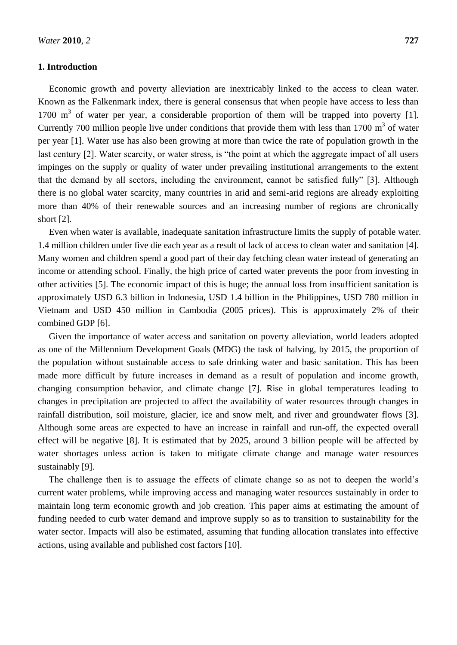# **1. Introduction**

Economic growth and poverty alleviation are inextricably linked to the access to clean water. Known as the Falkenmark index, there is general consensus that when people have access to less than 1700 m<sup>3</sup> of water per year, a considerable proportion of them will be trapped into poverty [1]. Currently 700 million people live under conditions that provide them with less than  $1700 \text{ m}^3$  of water per year [1]. Water use has also been growing at more than twice the rate of population growth in the last century [2]. Water scarcity, or water stress, is "the point at which the aggregate impact of all users impinges on the supply or quality of water under prevailing institutional arrangements to the extent that the demand by all sectors, including the environment, cannot be satisfied fully" [3]. Although there is no global water scarcity, many countries in arid and semi-arid regions are already exploiting more than 40% of their renewable sources and an increasing number of regions are chronically short [2].

Even when water is available, inadequate sanitation infrastructure limits the supply of potable water. 1.4 million children under five die each year as a result of lack of access to clean water and sanitation [4]. Many women and children spend a good part of their day fetching clean water instead of generating an income or attending school. Finally, the high price of carted water prevents the poor from investing in other activities [5]. The economic impact of this is huge; the annual loss from insufficient sanitation is approximately USD 6.3 billion in Indonesia, USD 1.4 billion in the Philippines, USD 780 million in Vietnam and USD 450 million in Cambodia (2005 prices). This is approximately 2% of their combined GDP [6].

Given the importance of water access and sanitation on poverty alleviation, world leaders adopted as one of the Millennium Development Goals (MDG) the task of halving, by 2015, the proportion of the population without sustainable access to safe drinking water and basic sanitation. This has been made more difficult by future increases in demand as a result of population and income growth, changing consumption behavior, and climate change [7]. Rise in global temperatures leading to changes in precipitation are projected to affect the availability of water resources through changes in rainfall distribution, soil moisture, glacier, ice and snow melt, and river and groundwater flows [3]. Although some areas are expected to have an increase in rainfall and run-off, the expected overall effect will be negative [8]. It is estimated that by 2025, around 3 billion people will be affected by water shortages unless action is taken to mitigate climate change and manage water resources sustainably [9].

The challenge then is to assuage the effects of climate change so as not to deepen the world's current water problems, while improving access and managing water resources sustainably in order to maintain long term economic growth and job creation. This paper aims at estimating the amount of funding needed to curb water demand and improve supply so as to transition to sustainability for the water sector. Impacts will also be estimated, assuming that funding allocation translates into effective actions, using available and published cost factors [10].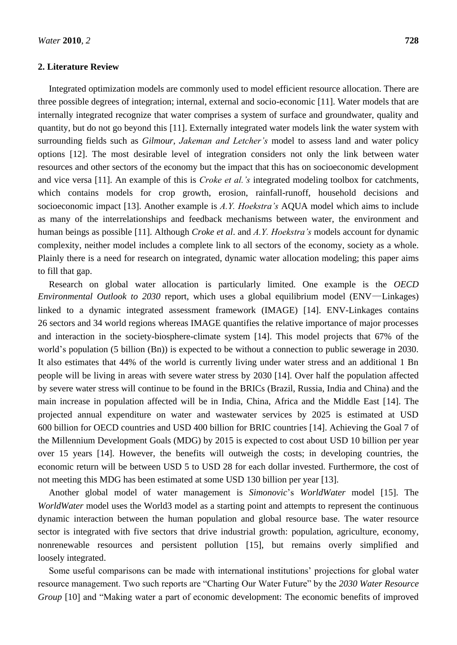# **2. Literature Review**

Integrated optimization models are commonly used to model efficient resource allocation. There are three possible degrees of integration; internal, external and socio-economic [11]. Water models that are internally integrated recognize that water comprises a system of surface and groundwater, quality and quantity, but do not go beyond this [11]. Externally integrated water models link the water system with surrounding fields such as *Gilmour*, *Jakeman and Letcher's* model to assess land and water policy options [12]. The most desirable level of integration considers not only the link between water resources and other sectors of the economy but the impact that this has on socioeconomic development and vice versa [11]. An example of this is *Croke et al.'s* integrated modeling toolbox for catchments, which contains models for crop growth, erosion, rainfall-runoff, household decisions and socioeconomic impact [13]. Another example is *A.Y. Hoekstra's* AQUA model which aims to include as many of the interrelationships and feedback mechanisms between water, the environment and human beings as possible [11]. Although *Croke et al*. and *A.Y. Hoekstra's* models account for dynamic complexity, neither model includes a complete link to all sectors of the economy, society as a whole. Plainly there is a need for research on integrated, dynamic water allocation modeling; this paper aims to fill that gap.

Research on global water allocation is particularly limited. One example is the *OECD Environmental Outlook to 2030* report, which uses a global equilibrium model (ENV—Linkages) linked to a dynamic integrated assessment framework (IMAGE) [14]. ENV-Linkages contains 26 sectors and 34 world regions whereas IMAGE quantifies the relative importance of major processes and interaction in the society-biosphere-climate system [14]. This model projects that 67% of the world's population (5 billion (Bn)) is expected to be without a connection to public sewerage in 2030. It also estimates that 44% of the world is currently living under water stress and an additional 1 Bn people will be living in areas with severe water stress by 2030 [14]. Over half the population affected by severe water stress will continue to be found in the BRICs (Brazil, Russia, India and China) and the main increase in population affected will be in India, China, Africa and the Middle East [14]. The projected annual expenditure on water and wastewater services by 2025 is estimated at USD 600 billion for OECD countries and USD 400 billion for BRIC countries [14]. Achieving the Goal 7 of the Millennium Development Goals (MDG) by 2015 is expected to cost about USD 10 billion per year over 15 years [14]. However, the benefits will outweigh the costs; in developing countries, the economic return will be between USD 5 to USD 28 for each dollar invested. Furthermore, the cost of not meeting this MDG has been estimated at some USD 130 billion per year [13].

Another global model of water management is *Simonovic*'s *WorldWater* model [15]. The *WorldWater* model uses the World3 model as a starting point and attempts to represent the continuous dynamic interaction between the human population and global resource base. The water resource sector is integrated with five sectors that drive industrial growth: population, agriculture, economy, nonrenewable resources and persistent pollution [15], but remains overly simplified and loosely integrated.

Some useful comparisons can be made with international institutions' projections for global water resource management. Two such reports are "Charting Our Water Future" by the 2030 Water Resource *Group* [10] and "Making water a part of economic development: The economic benefits of improved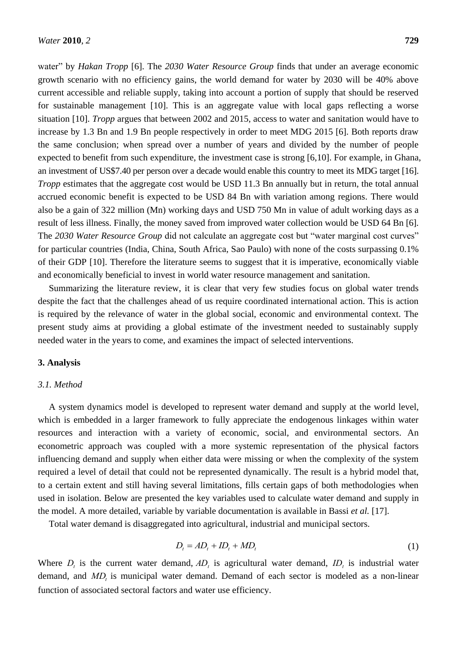water" by *Hakan Tropp* [6]. The 2030 Water Resource Group finds that under an average economic growth scenario with no efficiency gains, the world demand for water by 2030 will be 40% above current accessible and reliable supply, taking into account a portion of supply that should be reserved for sustainable management [10]. This is an aggregate value with local gaps reflecting a worse situation [10]. *Tropp* argues that between 2002 and 2015, access to water and sanitation would have to increase by 1.3 Bn and 1.9 Bn people respectively in order to meet MDG 2015 [6]. Both reports draw the same conclusion; when spread over a number of years and divided by the number of people expected to benefit from such expenditure, the investment case is strong [6,10]. For example, in Ghana, an investment of US\$7.40 per person over a decade would enable this country to meet its MDG target [16]. *Tropp* estimates that the aggregate cost would be USD 11.3 Bn annually but in return, the total annual accrued economic benefit is expected to be USD 84 Bn with variation among regions. There would also be a gain of 322 million (Mn) working days and USD 750 Mn in value of adult working days as a result of less illness. Finally, the money saved from improved water collection would be USD 64 Bn [6]. The 2030 Water Resource Group did not calculate an aggregate cost but "water marginal cost curves" for particular countries (India, China, South Africa, Sao Paulo) with none of the costs surpassing 0.1% of their GDP [10]. Therefore the literature seems to suggest that it is imperative, economically viable and economically beneficial to invest in world water resource management and sanitation.

Summarizing the literature review, it is clear that very few studies focus on global water trends despite the fact that the challenges ahead of us require coordinated international action. This is action is required by the relevance of water in the global social, economic and environmental context. The present study aims at providing a global estimate of the investment needed to sustainably supply needed water in the years to come, and examines the impact of selected interventions.

## **3. Analysis**

### *3.1. Method*

A system dynamics model is developed to represent water demand and supply at the world level, which is embedded in a larger framework to fully appreciate the endogenous linkages within water resources and interaction with a variety of economic, social, and environmental sectors. An econometric approach was coupled with a more systemic representation of the physical factors influencing demand and supply when either data were missing or when the complexity of the system required a level of detail that could not be represented dynamically. The result is a hybrid model that, to a certain extent and still having several limitations, fills certain gaps of both methodologies when used in isolation. Below are presented the key variables used to calculate water demand and supply in the model. A more detailed, variable by variable documentation is available in Bassi *et al.* [17].

Total water demand is disaggregated into agricultural, industrial and municipal sectors.

$$
D_t = AD_t + ID_t + MD_t \tag{1}
$$

 function of associated sectoral factors and water use efficiency.Where  $D_t$  is the current water demand,  $AD_t$  is agricultural water demand,  $ID_t$  is industrial water demand, and *MD<sup>t</sup>* is municipal water demand. Demand of each sector is modeled as a non-linear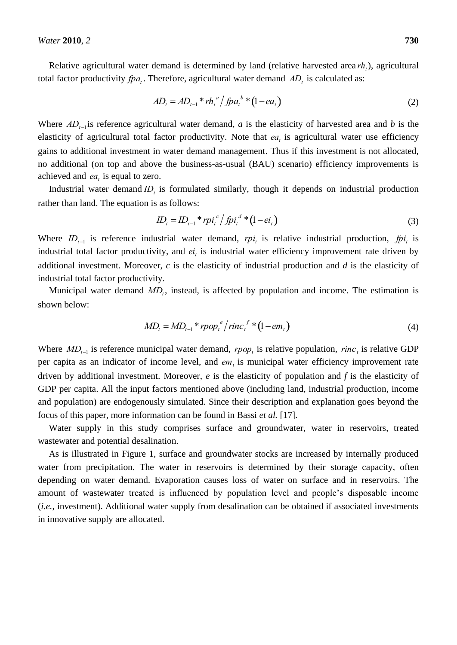Relative agricultural water demand is determined by land (relative harvested area *rht* ), agricultural total factor productivity  $fpa_t$ . Therefore, agricultural water demand  $AD_t$  is calculated as:

$$
AD_{t} = AD_{t-1} * rh_{t}^{a} / fpa_{t}^{b} * (1 - ea_{t})
$$
\n(2)

 elasticity of agricultural total factor productivity. Note that  $ea_t$  is agricultural water use efficiency Where  $AD_{t-1}$  is reference agricultural water demand, *a* is the elasticity of harvested area and *b* is the no additional (on top and above the business-as-usual (BAU) scenario) efficiency improvements is gains to additional investment in water demand management. Thus if this investment is not allocated, achieved and  $ea_t$  is equal to zero.

Industrial water demand *ID<sup>t</sup>* is formulated similarly, though it depends on industrial production rather than land. The equation is as follows:

$$
ID_{t} = ID_{t-1} * rpi_{t}^{c} / fpi_{t}^{d} * (1 - ei_{t})
$$
\n(3)

 additional investment. Moreover, *c* is the elasticity of industrial production and *d* is the elasticity of Where  $ID_{t-1}$  is reference industrial water demand,  $rpi_t$  is relative industrial production,  $fpi_t$  is industrial total factor productivity. industrial total factor productivity, and  $ei_t$  is industrial water efficiency improvement rate driven by

Municipal water demand  $MD<sub>t</sub>$ , instead, is affected by population and income. The estimation is shown below:

$$
MD_{t} = MD_{t-1} * rpop_{t}^{e}/rinc_{t}^{f} * (1 - em_{t})
$$
\n
$$
\tag{4}
$$

 per capita as an indicator of income level, and *em<sup>t</sup>* is municipal water efficiency improvement rate Where  $MD_{t-1}$  is reference municipal water demand,  $rpop_t$  is relative population,  $rinc_t$  is relative GDP GDP per capita. All the input factors mentioned above (including land, industrial production, income and population) are endogenously simulated. Since their description and explanation goes beyond the driven by additional investment. Moreover, *e* is the elasticity of population and *f* is the elasticity of focus of this paper, more information can be found in Bassi *et al.* [17].

Water supply in this study comprises surface and groundwater, water in reservoirs, treated wastewater and potential desalination.

As is illustrated in Figure 1, surface and groundwater stocks are increased by internally produced water from precipitation. The water in reservoirs is determined by their storage capacity, often depending on water demand. Evaporation causes loss of water on surface and in reservoirs. The amount of wastewater treated is influenced by population level and people's disposable income (*i.e.*, investment). Additional water supply from desalination can be obtained if associated investments in innovative supply are allocated.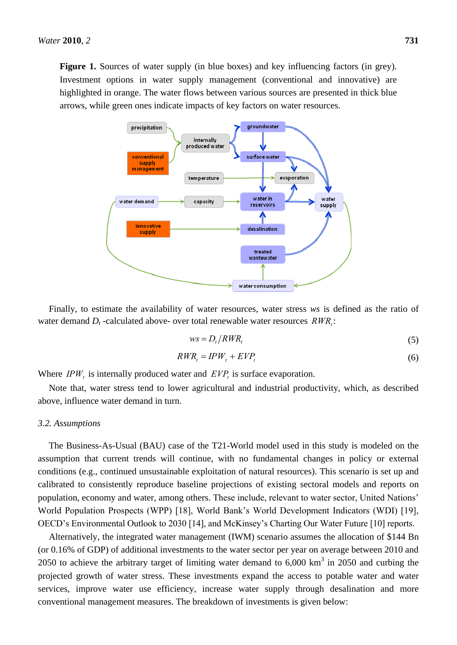**Figure 1.** Sources of water supply (in blue boxes) and key influencing factors (in grey). Investment options in water supply management (conventional and innovative) are highlighted in orange. The water flows between various sources are presented in thick blue arrows, while green ones indicate impacts of key factors on water resources.



Finally, to estimate the availability of water resources, water stress *ws* is defined as the ratio of water demand  $D_t$ -calculated above- over total renewable water resources  $RWR_t$ :

$$
ws = D_t / RWR_t \tag{5}
$$

$$
RWR_t = IPW_t + EVP_t \tag{6}
$$

Where  $IPW_t$  is internally produced water and  $EVP_t$  is surface evaporation.

 above, influence water demand in turn. Note that, water stress tend to lower agricultural and industrial productivity, which, as described

#### *3.2. Assumptions*

The Business-As-Usual (BAU) case of the T21-World model used in this study is modeled on the assumption that current trends will continue, with no fundamental changes in policy or external conditions (e.g., continued unsustainable exploitation of natural resources). This scenario is set up and calibrated to consistently reproduce baseline projections of existing sectoral models and reports on population, economy and water, among others. These include, relevant to water sector, United Nations' World Population Prospects (WPP) [18], World Bank's World Development Indicators (WDI) [19], OECD's Environmental Outlook to 2030 [14], and McKinsey's Charting Our Water Future [10] reports.

Alternatively, the integrated water management (IWM) scenario assumes the allocation of \$144 Bn (or 0.16% of GDP) of additional investments to the water sector per year on average between 2010 and 2050 to achieve the arbitrary target of limiting water demand to  $6,000 \text{ km}^3$  in 2050 and curbing the projected growth of water stress. These investments expand the access to potable water and water services, improve water use efficiency, increase water supply through desalination and more conventional management measures. The breakdown of investments is given below: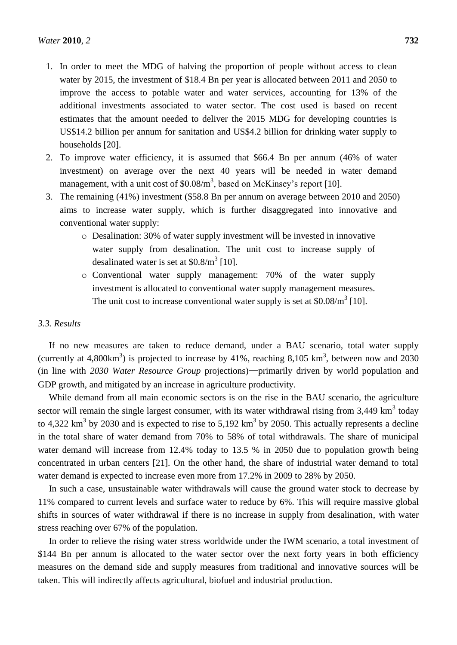- 1. In order to meet the MDG of halving the proportion of people without access to clean water by 2015, the investment of \$18.4 Bn per year is allocated between 2011 and 2050 to improve the access to potable water and water services, accounting for 13% of the additional investments associated to water sector. The cost used is based on recent estimates that the amount needed to deliver the 2015 MDG for developing countries is US\$14.2 billion per annum for sanitation and US\$4.2 billion for drinking water supply to households [20].
- 2. To improve water efficiency, it is assumed that \$66.4 Bn per annum (46% of water investment) on average over the next 40 years will be needed in water demand management, with a unit cost of  $$0.08/m<sup>3</sup>$ , based on McKinsey's report [10].
- 3. The remaining (41%) investment (\$58.8 Bn per annum on average between 2010 and 2050) aims to increase water supply, which is further disaggregated into innovative and conventional water supply:
	- o Desalination: 30% of water supply investment will be invested in innovative water supply from desalination. The unit cost to increase supply of desalinated water is set at  $$0.8/m<sup>3</sup>$  [10].
	- o Conventional water supply management: 70% of the water supply investment is allocated to conventional water supply management measures. The unit cost to increase conventional water supply is set at  $$0.08/m<sup>3</sup>$  [10].

# *3.3. Results*

If no new measures are taken to reduce demand, under a BAU scenario, total water supply (currently at 4,800 km<sup>3</sup>) is projected to increase by 41%, reaching 8,105 km<sup>3</sup>, between now and 2030 (in line with *2030 Water Resource Group* projections)—primarily driven by world population and GDP growth, and mitigated by an increase in agriculture productivity.

While demand from all main economic sectors is on the rise in the BAU scenario, the agriculture sector will remain the single largest consumer, with its water withdrawal rising from  $3,449 \text{ km}^3$  today to 4,322  $\text{km}^3$  by 2030 and is expected to rise to 5,192  $\text{km}^3$  by 2050. This actually represents a decline in the total share of water demand from 70% to 58% of total withdrawals. The share of municipal water demand will increase from 12.4% today to 13.5 % in 2050 due to population growth being concentrated in urban centers [21]. On the other hand, the share of industrial water demand to total water demand is expected to increase even more from 17.2% in 2009 to 28% by 2050.

In such a case, unsustainable water withdrawals will cause the ground water stock to decrease by 11% compared to current levels and surface water to reduce by 6%. This will require massive global shifts in sources of water withdrawal if there is no increase in supply from desalination, with water stress reaching over 67% of the population.

In order to relieve the rising water stress worldwide under the IWM scenario, a total investment of \$144 Bn per annum is allocated to the water sector over the next forty years in both efficiency measures on the demand side and supply measures from traditional and innovative sources will be taken. This will indirectly affects agricultural, biofuel and industrial production.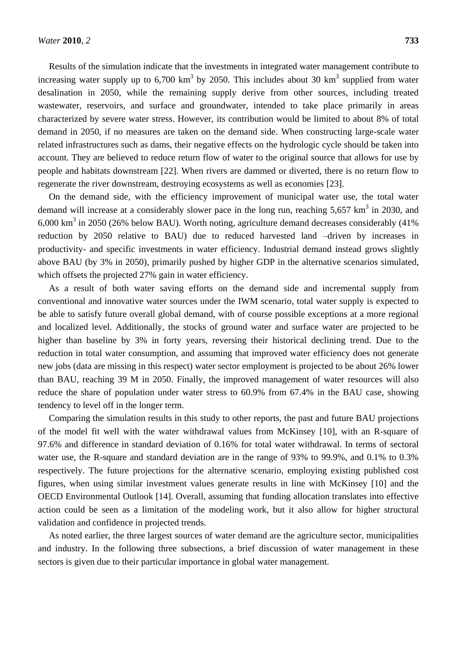Results of the simulation indicate that the investments in integrated water management contribute to increasing water supply up to  $6,700 \text{ km}^3$  by 2050. This includes about 30 km<sup>3</sup> supplied from water desalination in 2050, while the remaining supply derive from other sources, including treated wastewater, reservoirs, and surface and groundwater, intended to take place primarily in areas characterized by severe water stress. However, its contribution would be limited to about 8% of total demand in 2050, if no measures are taken on the demand side. When constructing large-scale water related infrastructures such as dams, their negative effects on the hydrologic cycle should be taken into account. They are believed to reduce return flow of water to the original source that allows for use by people and habitats downstream [22]. When rivers are dammed or diverted, there is no return flow to regenerate the river downstream, destroying ecosystems as well as economies [23].

On the demand side, with the efficiency improvement of municipal water use, the total water demand will increase at a considerably slower pace in the long run, reaching  $5,657 \text{ km}^3$  in 2030, and  $6,000 \text{ km}^3$  in 2050 (26% below BAU). Worth noting, agriculture demand decreases considerably (41%) reduction by 2050 relative to BAU) due to reduced harvested land –driven by increases in productivity- and specific investments in water efficiency. Industrial demand instead grows slightly above BAU (by 3% in 2050), primarily pushed by higher GDP in the alternative scenarios simulated, which offsets the projected 27% gain in water efficiency.

As a result of both water saving efforts on the demand side and incremental supply from conventional and innovative water sources under the IWM scenario, total water supply is expected to be able to satisfy future overall global demand, with of course possible exceptions at a more regional and localized level. Additionally, the stocks of ground water and surface water are projected to be higher than baseline by 3% in forty years, reversing their historical declining trend. Due to the reduction in total water consumption, and assuming that improved water efficiency does not generate new jobs (data are missing in this respect) water sector employment is projected to be about 26% lower than BAU, reaching 39 M in 2050. Finally, the improved management of water resources will also reduce the share of population under water stress to 60.9% from 67.4% in the BAU case, showing tendency to level off in the longer term.

Comparing the simulation results in this study to other reports, the past and future BAU projections of the model fit well with the water withdrawal values from McKinsey [10], with an R-square of 97.6% and difference in standard deviation of 0.16% for total water withdrawal. In terms of sectoral water use, the R-square and standard deviation are in the range of 93% to 99.9%, and 0.1% to 0.3% respectively. The future projections for the alternative scenario, employing existing published cost figures, when using similar investment values generate results in line with McKinsey [10] and the OECD Environmental Outlook [14]. Overall, assuming that funding allocation translates into effective action could be seen as a limitation of the modeling work, but it also allow for higher structural validation and confidence in projected trends.

As noted earlier, the three largest sources of water demand are the agriculture sector, municipalities and industry. In the following three subsections, a brief discussion of water management in these sectors is given due to their particular importance in global water management.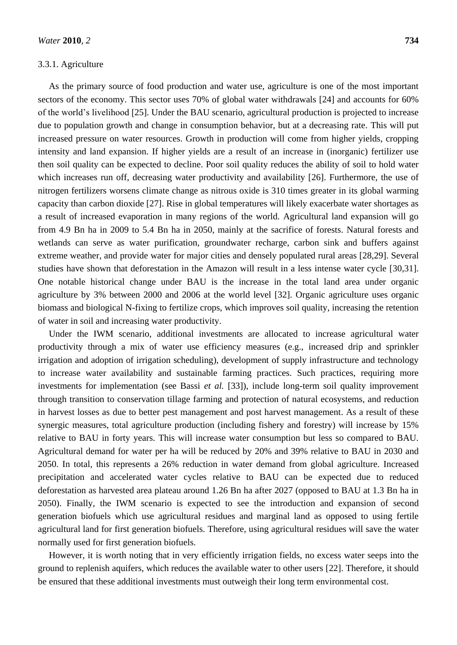## 3.3.1. Agriculture

As the primary source of food production and water use, agriculture is one of the most important sectors of the economy. This sector uses 70% of global water withdrawals [24] and accounts for 60% of the world's livelihood [25]. Under the BAU scenario, agricultural production is projected to increase due to population growth and change in consumption behavior, but at a decreasing rate. This will put increased pressure on water resources. Growth in production will come from higher yields, cropping intensity and land expansion. If higher yields are a result of an increase in (inorganic) fertilizer use then soil quality can be expected to decline. Poor soil quality reduces the ability of soil to hold water which increases run off, decreasing water productivity and availability [26]. Furthermore, the use of nitrogen fertilizers worsens climate change as nitrous oxide is 310 times greater in its global warming capacity than carbon dioxide [27]. Rise in global temperatures will likely exacerbate water shortages as a result of increased evaporation in many regions of the world. Agricultural land expansion will go from 4.9 Bn ha in 2009 to 5.4 Bn ha in 2050, mainly at the sacrifice of forests. Natural forests and wetlands can serve as water purification, groundwater recharge, carbon sink and buffers against extreme weather, and provide water for major cities and densely populated rural areas [28,29]. Several studies have shown that deforestation in the Amazon will result in a less intense water cycle [30,31]. One notable historical change under BAU is the increase in the total land area under organic agriculture by 3% between 2000 and 2006 at the world level [32]. Organic agriculture uses organic biomass and biological N-fixing to fertilize crops, which improves soil quality, increasing the retention of water in soil and increasing water productivity.

Under the IWM scenario, additional investments are allocated to increase agricultural water productivity through a mix of water use efficiency measures (e.g., increased drip and sprinkler irrigation and adoption of irrigation scheduling), development of supply infrastructure and technology to increase water availability and sustainable farming practices. Such practices, requiring more investments for implementation (see Bassi *et al.* [33]), include long-term soil quality improvement through transition to conservation tillage farming and protection of natural ecosystems, and reduction in harvest losses as due to better pest management and post harvest management. As a result of these synergic measures, total agriculture production (including fishery and forestry) will increase by 15% relative to BAU in forty years. This will increase water consumption but less so compared to BAU. Agricultural demand for water per ha will be reduced by 20% and 39% relative to BAU in 2030 and 2050. In total, this represents a 26% reduction in water demand from global agriculture. Increased precipitation and accelerated water cycles relative to BAU can be expected due to reduced deforestation as harvested area plateau around 1.26 Bn ha after 2027 (opposed to BAU at 1.3 Bn ha in 2050). Finally, the IWM scenario is expected to see the introduction and expansion of second generation biofuels which use agricultural residues and marginal land as opposed to using fertile agricultural land for first generation biofuels. Therefore, using agricultural residues will save the water normally used for first generation biofuels.

However, it is worth noting that in very efficiently irrigation fields, no excess water seeps into the ground to replenish aquifers, which reduces the available water to other users [22]. Therefore, it should be ensured that these additional investments must outweigh their long term environmental cost.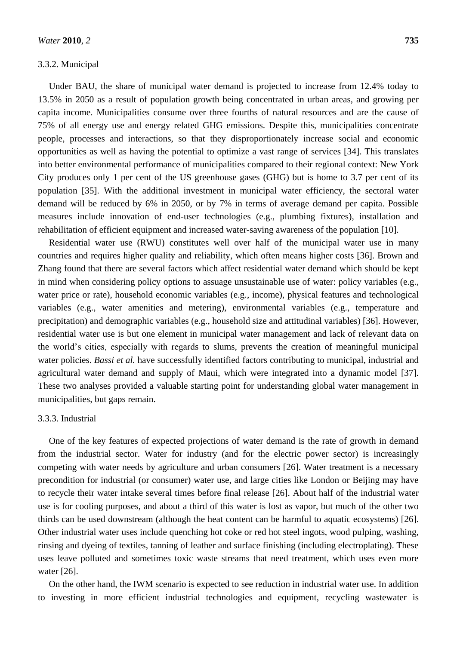## 3.3.2. Municipal

Under BAU, the share of municipal water demand is projected to increase from 12.4% today to 13.5% in 2050 as a result of population growth being concentrated in urban areas, and growing per capita income. Municipalities consume over three fourths of natural resources and are the cause of 75% of all energy use and energy related GHG emissions. Despite this, municipalities concentrate people, processes and interactions, so that they disproportionately increase social and economic opportunities as well as having the potential to optimize a vast range of services [34]. This translates into better environmental performance of municipalities compared to their regional context: New York City produces only 1 per cent of the US greenhouse gases (GHG) but is home to 3.7 per cent of its population [35]. With the additional investment in municipal water efficiency, the sectoral water demand will be reduced by 6% in 2050, or by 7% in terms of average demand per capita. Possible measures include innovation of end-user technologies (e.g., plumbing fixtures), installation and rehabilitation of efficient equipment and increased water-saving awareness of the population [10].

Residential water use (RWU) constitutes well over half of the municipal water use in many countries and requires higher quality and reliability, which often means higher costs [36]. Brown and Zhang found that there are several factors which affect residential water demand which should be kept in mind when considering policy options to assuage unsustainable use of water: policy variables (e.g., water price or rate), household economic variables (e.g., income), physical features and technological variables (e.g., water amenities and metering), environmental variables (e.g., temperature and precipitation) and demographic variables (e.g., household size and attitudinal variables) [36]. However, residential water use is but one element in municipal water management and lack of relevant data on the world's cities, especially with regards to slums, prevents the creation of meaningful municipal water policies. *Bassi et al.* have successfully identified factors contributing to municipal, industrial and agricultural water demand and supply of Maui, which were integrated into a dynamic model [37]. These two analyses provided a valuable starting point for understanding global water management in municipalities, but gaps remain.

# 3.3.3. Industrial

One of the key features of expected projections of water demand is the rate of growth in demand from the industrial sector. Water for industry (and for the electric power sector) is increasingly competing with water needs by agriculture and urban consumers [26]. Water treatment is a necessary precondition for industrial (or consumer) water use, and large cities like London or Beijing may have to recycle their water intake several times before final release [26]. About half of the industrial water use is for cooling purposes, and about a third of this water is lost as vapor, but much of the other two thirds can be used downstream (although the heat content can be harmful to aquatic ecosystems) [26]. Other industrial water uses include quenching hot coke or red hot steel ingots, wood pulping, washing, rinsing and dyeing of textiles, tanning of leather and surface finishing (including electroplating). These uses leave polluted and sometimes toxic waste streams that need treatment, which uses even more water [26].

On the other hand, the IWM scenario is expected to see reduction in industrial water use. In addition to investing in more efficient industrial technologies and equipment, recycling wastewater is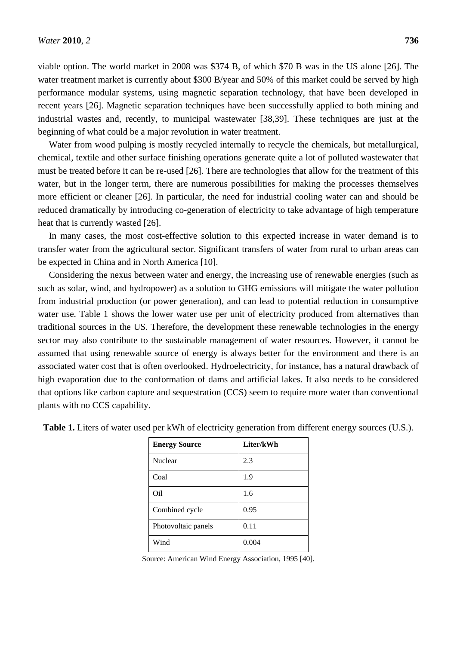viable option. The world market in 2008 was \$374 B, of which \$70 B was in the US alone [26]. The water treatment market is currently about \$300 B/year and 50% of this market could be served by high performance modular systems, using magnetic separation technology, that have been developed in recent years [26]. Magnetic separation techniques have been successfully applied to both mining and industrial wastes and, recently, to municipal wastewater [38,39]. These techniques are just at the beginning of what could be a major revolution in water treatment.

Water from wood pulping is mostly recycled internally to recycle the chemicals, but metallurgical, chemical, textile and other surface finishing operations generate quite a lot of polluted wastewater that must be treated before it can be re-used [26]. There are technologies that allow for the treatment of this water, but in the longer term, there are numerous possibilities for making the processes themselves more efficient or cleaner [26]. In particular, the need for industrial cooling water can and should be reduced dramatically by introducing co-generation of electricity to take advantage of high temperature heat that is currently wasted [26].

In many cases, the most cost-effective solution to this expected increase in water demand is to transfer water from the agricultural sector. Significant transfers of water from rural to urban areas can be expected in China and in North America [10].

Considering the nexus between water and energy, the increasing use of renewable energies (such as such as solar, wind, and hydropower) as a solution to GHG emissions will mitigate the water pollution from industrial production (or power generation), and can lead to potential reduction in consumptive water use. Table 1 shows the lower water use per unit of electricity produced from alternatives than traditional sources in the US. Therefore, the development these renewable technologies in the energy sector may also contribute to the sustainable management of water resources. However, it cannot be assumed that using renewable source of energy is always better for the environment and there is an associated water cost that is often overlooked. Hydroelectricity, for instance, has a natural drawback of high evaporation due to the conformation of dams and artificial lakes. It also needs to be considered that options like carbon capture and sequestration (CCS) seem to require more water than conventional plants with no CCS capability.

| <b>Energy Source</b> | Liter/kWh |
|----------------------|-----------|
| Nuclear              | 2.3       |
| Coal                 | 1.9       |
| Oil                  | 1.6       |
| Combined cycle       | 0.95      |
| Photovoltaic panels  | 0.11      |
| Wind                 | 0.004     |

**Table 1.** Liters of water used per kWh of electricity generation from different energy sources (U.S.).

Source: American Wind Energy Association, 1995 [40].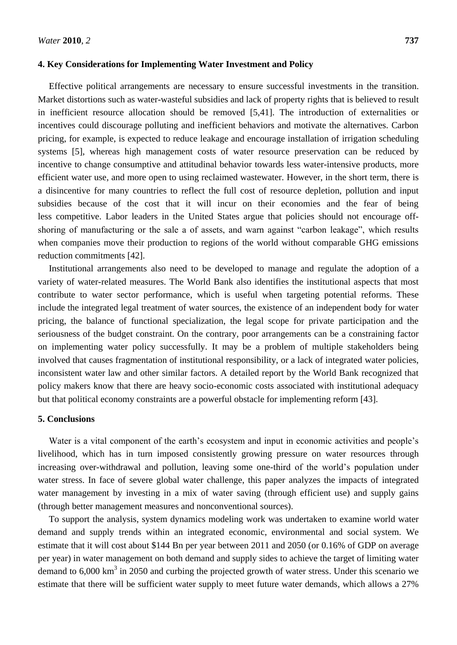## **4. Key Considerations for Implementing Water Investment and Policy**

Effective political arrangements are necessary to ensure successful investments in the transition. Market distortions such as water-wasteful subsidies and lack of property rights that is believed to result in inefficient resource allocation should be removed [5,41]. The introduction of externalities or incentives could discourage polluting and inefficient behaviors and motivate the alternatives. Carbon pricing, for example, is expected to reduce leakage and encourage installation of irrigation scheduling systems [5], whereas high management costs of water resource preservation can be reduced by incentive to change consumptive and attitudinal behavior towards less water-intensive products, more efficient water use, and more open to using reclaimed wastewater. However, in the short term, there is a disincentive for many countries to reflect the full cost of resource depletion, pollution and input subsidies because of the cost that it will incur on their economies and the fear of being less competitive. Labor leaders in the United States argue that policies should not encourage offshoring of manufacturing or the sale a of assets, and warn against "carbon leakage", which results when companies move their production to regions of the world without comparable GHG emissions reduction commitments [42].

Institutional arrangements also need to be developed to manage and regulate the adoption of a variety of water-related measures. The World Bank also identifies the institutional aspects that most contribute to water sector performance, which is useful when targeting potential reforms. These include the integrated legal treatment of water sources, the existence of an independent body for water pricing, the balance of functional specialization, the legal scope for private participation and the seriousness of the budget constraint. On the contrary, poor arrangements can be a constraining factor on implementing water policy successfully. It may be a problem of multiple stakeholders being involved that causes fragmentation of institutional responsibility, or a lack of integrated water policies, inconsistent water law and other similar factors. A detailed report by the World Bank recognized that policy makers know that there are heavy socio-economic costs associated with institutional adequacy but that political economy constraints are a powerful obstacle for implementing reform [43].

# **5. Conclusions**

Water is a vital component of the earth's ecosystem and input in economic activities and people's livelihood, which has in turn imposed consistently growing pressure on water resources through increasing over-withdrawal and pollution, leaving some one-third of the world's population under water stress. In face of severe global water challenge, this paper analyzes the impacts of integrated water management by investing in a mix of water saving (through efficient use) and supply gains (through better management measures and nonconventional sources).

To support the analysis, system dynamics modeling work was undertaken to examine world water demand and supply trends within an integrated economic, environmental and social system. We estimate that it will cost about \$144 Bn per year between 2011 and 2050 (or 0.16% of GDP on average per year) in water management on both demand and supply sides to achieve the target of limiting water demand to  $6,000 \text{ km}^3$  in 2050 and curbing the projected growth of water stress. Under this scenario we estimate that there will be sufficient water supply to meet future water demands, which allows a 27%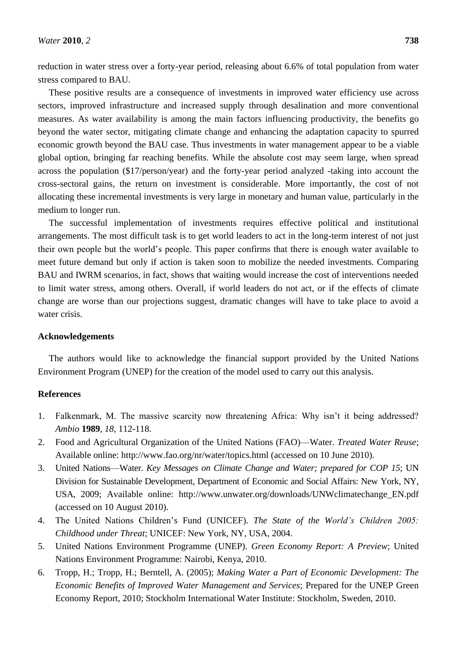reduction in water stress over a forty-year period, releasing about 6.6% of total population from water stress compared to BAU.

These positive results are a consequence of investments in improved water efficiency use across sectors, improved infrastructure and increased supply through desalination and more conventional measures. As water availability is among the main factors influencing productivity, the benefits go beyond the water sector, mitigating climate change and enhancing the adaptation capacity to spurred economic growth beyond the BAU case. Thus investments in water management appear to be a viable global option, bringing far reaching benefits. While the absolute cost may seem large, when spread across the population (\$17/person/year) and the forty-year period analyzed -taking into account the cross-sectoral gains, the return on investment is considerable. More importantly, the cost of not allocating these incremental investments is very large in monetary and human value, particularly in the medium to longer run.

The successful implementation of investments requires effective political and institutional arrangements. The most difficult task is to get world leaders to act in the long-term interest of not just their own people but the world's people. This paper confirms that there is enough water available to meet future demand but only if action is taken soon to mobilize the needed investments. Comparing BAU and IWRM scenarios, in fact, shows that waiting would increase the cost of interventions needed to limit water stress, among others. Overall, if world leaders do not act, or if the effects of climate change are worse than our projections suggest, dramatic changes will have to take place to avoid a water crisis.

## **Acknowledgements**

The authors would like to acknowledge the financial support provided by the United Nations Environment Program (UNEP) for the creation of the model used to carry out this analysis.

#### **References**

- 1. Falkenmark, M. The massive scarcity now threatening Africa: Why isn't it being addressed? *Ambio* **1989**, *18*, 112-118.
- 2. Food and Agricultural Organization of the United Nations (FAO)—Water. *Treated Water Reuse*; Available online: http://www.fao.org/nr/water/topics.html (accessed on 10 June 2010).
- 3. United Nations—Water. *Key Messages on Climate Change and Water; prepared for COP 15*; UN Division for Sustainable Development, Department of Economic and Social Affairs: New York, NY, USA, 2009; Available online: http://www.unwater.org/downloads/UNWclimatechange\_EN.pdf (accessed on 10 August 2010).
- 4. The United Nations Children's Fund (UNICEF). *The State of the World's Children 2005: Childhood under Threat*; UNICEF: New York, NY, USA, 2004.
- 5. [United Nations Environment Programme](http://www.unep.org/) (UNEP). *Green Economy Report: A Preview*; United Nations Environment Programme: Nairobi, Kenya, 2010.
- 6. Tropp, H.; Tropp, H.; Berntell, A. (2005); *Making Water a Part of Economic Development: The Economic Benefits of Improved Water Management and Services*; Prepared for the UNEP Green Economy Report, 2010; Stockholm International Water Institute: [Stockholm,](http://sei-international.org/stockholm) Sweden, 2010.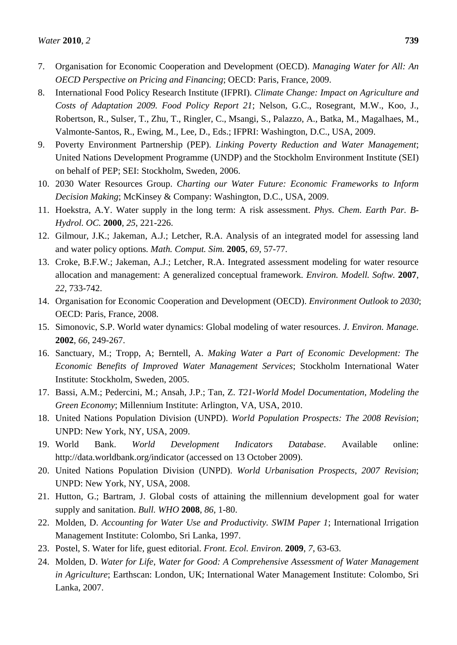- 7. Organisation for Economic Cooperation and Development (OECD). *Managing Water for All: An OECD Perspective on Pricing and Financing*; OECD: Paris, France, 2009.
- 8. International Food Policy Research Institute (IFPRI). *Climate Change: Impact on Agriculture and Costs of Adaptation 2009. Food Policy Report 21*; Nelson, G.C., Rosegrant, M.W., Koo, J., Robertson, R., Sulser, T., Zhu, T., Ringler, C., Msangi, S., Palazzo, A., Batka, M., Magalhaes, M., Valmonte-Santos, R., Ewing, M., Lee, D., Eds.; IFPRI: Washington, D.C., USA, 2009.
- 9. Poverty Environment Partnership (PEP). *Linking Poverty Reduction and Water Management*; United Nations Development Programme (UNDP) and the Stockholm Environment Institute (SEI) on behalf of PEP; SEI: [Stockholm,](http://sei-international.org/stockholm) Sweden, 2006.
- 10. 2030 Water Resources Group. *Charting our Water Future: Economic Frameworks to Inform Decision Making*; McKinsey & Company: Washington, D.C., USA, 2009.
- 11. Hoekstra, A.Y. Water supply in the long term: A risk assessment. *Phys. Chem. Earth Par. B-Hydrol. OC.* **2000**, *25*, 221-226.
- 12. Gilmour, J.K.; Jakeman, A.J.; Letcher, R.A. Analysis of an integrated model for assessing land and water policy options*. Math. Comput. Sim.* **2005**, *69*, 57-77.
- 13. Croke, B.F.W.; Jakeman, A.J.; Letcher, R.A. Integrated assessment modeling for water resource allocation and management: A generalized conceptual framework. *Environ. Modell. Softw.* **2007**, *22*, 733-742.
- 14. Organisation for Economic Cooperation and Development (OECD). *Environment Outlook to 2030*; OECD: Paris, France, 2008.
- 15. Simonovic, S.P. World water dynamics: Global modeling of water resources*. J. Environ. Manage.* **2002**, *66*, 249-267.
- 16. Sanctuary, M.; Tropp, A; Berntell, A. *Making Water a Part of Economic Development: The Economic Benefits of Improved Water Management Services*; Stockholm International Water Institute: Stockholm, Sweden, 2005.
- 17. Bassi, A.M.; Pedercini, M.; Ansah, J.P.; Tan, Z. *T21-World Model Documentation*, *Modeling the Green Economy*; Millennium Institute: Arlington, VA, USA, 2010.
- 18. United Nations Population Division (UNPD). *World Population Prospects: The 2008 Revision*; UNPD: New York, NY, USA, 2009.
- 19. World Bank. *World Development Indicators Database*. Available online: http://data.worldbank.org/indicator (accessed on 13 October 2009).
- 20. United Nations Population Division (UNPD). *World Urbanisation Prospects*, *2007 Revision*; UNPD: New York, NY, USA, 2008.
- 21. Hutton, G.; Bartram, J. Global costs of attaining the millennium development goal for water supply and sanitation. *Bull. WHO* **2008**, *86*, 1-80.
- 22. Molden, D. *Accounting for Water Use and Productivity. SWIM Paper 1*; International Irrigation Management Institute: Colombo, Sri Lanka, 1997.
- 23. Postel, S. Water for life, guest editorial. *Front. Ecol. Environ.* **2009**, *7*, 63-63.
- 24. Molden, D. *Water for Life*, *Water for Good: A Comprehensive Assessment of Water Management in Agriculture*; Earthscan: London, UK; International Water Management Institute: Colombo, Sri Lanka, 2007.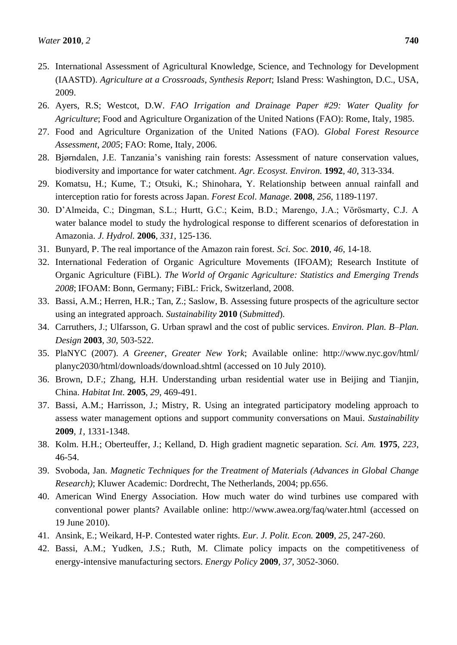- 25. International Assessment of Agricultural Knowledge, Science, and Technology for Development (IAASTD). *Agriculture at a Crossroads*, *Synthesis Report*; Island Press: Washington, D.C., USA, 2009.
- 26. Ayers, R.S; Westcot, D.W. *FAO Irrigation and Drainage Paper #29: Water Quality for Agriculture*; Food and Agriculture Organization of the United Nations (FAO): Rome, Italy, 1985.
- 27. Food and Agriculture Organization of the United Nations (FAO). *Global Forest Resource Assessment*, *2005*; FAO: Rome, Italy, 2006.
- 28. Bjørndalen, J.E. Tanzania's vanishing rain forests: Assessment of nature conservation values, biodiversity and importance for water catchment. *Agr. Ecosyst. Environ.* **1992**, *40*, 313-334.
- 29. Komatsu, H.; Kume, T.; Otsuki, K.; Shinohara, Y. Relationship between annual rainfall and interception ratio for forests across Japan. *Forest Ecol. Manage.* **2008**, *256*, 1189-1197.
- 30. D'Almeida, C.; Dingman, S.L.; Hurtt, G.C.; Keim, B.D.; Marengo, J.A.; Vörösmarty, C.J. A water balance model to study the hydrological response to different scenarios of deforestation in Amazonia. *J. Hydrol.* **2006**, *331*, 125-136.
- 31. Bunyard, P. The real importance of the Amazon rain forest*. Sci. Soc.* **2010**, *46*, 14-18.
- 32. International Federation of Organic Agriculture Movements (IFOAM); Research Institute of Organic Agriculture (FiBL). *The World of Organic Agriculture: Statistics and Emerging Trends 2008*; IFOAM: Bonn, Germany; FiBL: Frick, Switzerland, 2008.
- 33. Bassi, A.M.; Herren, H.R.; Tan, Z.; Saslow, B. Assessing future prospects of the agriculture sector using an integrated approach. *Sustainability* **2010** (*Submitted*).
- 34. Carruthers, J.; Ulfarsson, G. Urban sprawl and the cost of public services. *Environ. Plan. B–Plan. Design* **2003**, *30*, 503-522.
- 35. PlaNYC (2007). *A Greener*, *Greater New York*; Available online: http://www.nyc.gov/html/ planyc2030/html/downloads/download.shtml (accessed on 10 July 2010).
- 36. Brown, D.F.; Zhang, H.H. Understanding urban residential water use in Beijing and Tianjin, China. *Habitat Int.* **2005**, *29*, 469-491.
- 37. Bassi, A.M.; Harrisson, J.; Mistry, R. Using an integrated participatory modeling approach to assess water management options and support community conversations on Maui. *Sustainability* **2009**, *1*, 1331-1348.
- 38. Kolm. H.H.; Oberteuffer, J.; Kelland, D. High gradient magnetic separation. *Sci. Am.* **1975**, *223*, 46-54.
- 39. Svoboda, Jan. *Magnetic Techniques for the Treatment of Materials (Advances in Global Change Research)*; Kluwer Academic: Dordrecht, The Netherlands, 2004; pp.656.
- 40. American Wind Energy Association. How much water do wind turbines use compared with conventional power plants? Available online: http://www.awea.org/faq/water.html (accessed on 19 June 2010).
- 41. Ansink, E.; Weikard, H-P. Contested water rights. *Eur. J. Polit. Econ.* **2009**, *25*, 247-260.
- 42. Bassi, A.M.; Yudken, J.S.; Ruth, M. Climate policy impacts on the competitiveness of energy-intensive manufacturing sectors. *Energy Policy* **2009**, *37*, 3052-3060.